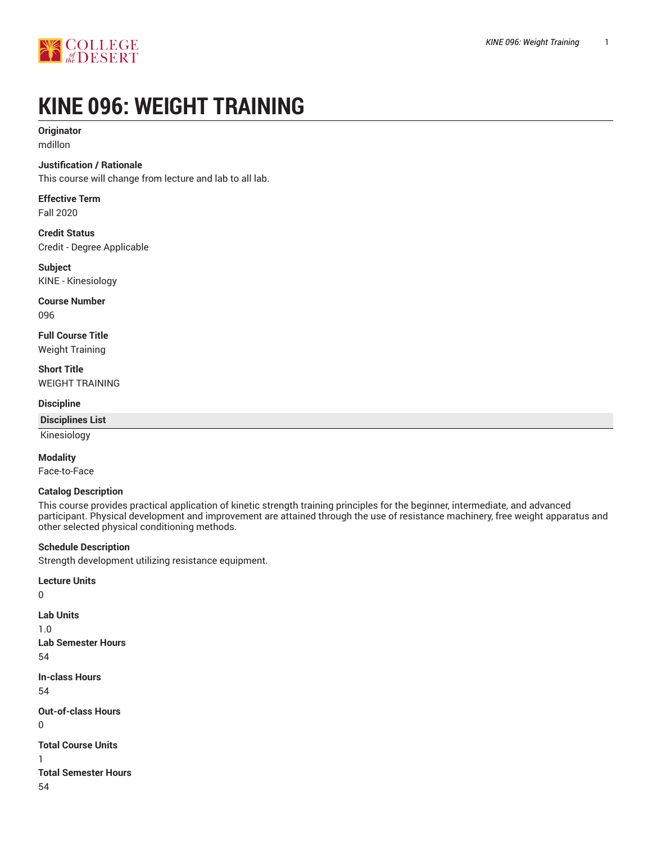



# **KINE 096: WEIGHT TRAINING**

# **Originator**

mdillon

## **Justification / Rationale**

This course will change from lecture and lab to all lab.

# **Effective Term**

Fall 2020

**Credit Status** Credit - Degree Applicable

**Subject** KINE - Kinesiology

**Course Number** 096

**Full Course Title** Weight Training

**Short Title** WEIGHT TRAINING

#### **Discipline**

#### **Disciplines List**

Kinesiology

#### **Modality**

0

0

1

Face-to-Face

#### **Catalog Description**

This course provides practical application of kinetic strength training principles for the beginner, intermediate, and advanced participant. Physical development and improvement are attained through the use of resistance machinery, free weight apparatus and other selected physical conditioning methods.

#### **Schedule Description**

Strength development utilizing resistance equipment.

**Lecture Units Lab Units** 1.0 **Lab Semester Hours** 54 **In-class Hours** 54 **Out-of-class Hours Total Course Units Total Semester Hours** 54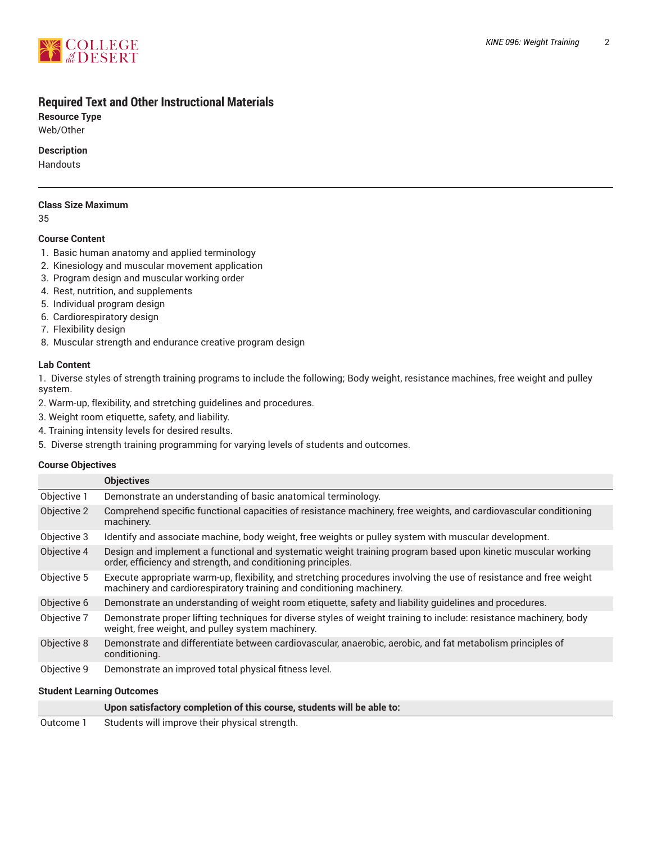

# **Required Text and Other Instructional Materials**

**Resource Type**

Web/Other

## **Description**

Handouts

#### **Class Size Maximum**

35

#### **Course Content**

- 1. Basic human anatomy and applied terminology
- 2. Kinesiology and muscular movement application
- 3. Program design and muscular working order
- 4. Rest, nutrition, and supplements
- 5. Individual program design
- 6. Cardiorespiratory design
- 7. Flexibility design
- 8. Muscular strength and endurance creative program design

#### **Lab Content**

1. Diverse styles of strength training programs to include the following; Body weight, resistance machines, free weight and pulley system.

- 2. Warm-up, flexibility, and stretching guidelines and procedures.
- 3. Weight room etiquette, safety, and liability.
- 4. Training intensity levels for desired results.
- 5. Diverse strength training programming for varying levels of students and outcomes.

#### **Course Objectives**

|             | <b>Objectives</b>                                                                                                                                                                           |
|-------------|---------------------------------------------------------------------------------------------------------------------------------------------------------------------------------------------|
| Objective 1 | Demonstrate an understanding of basic anatomical terminology.                                                                                                                               |
| Objective 2 | Comprehend specific functional capacities of resistance machinery, free weights, and cardiovascular conditioning<br>machinery.                                                              |
| Objective 3 | Identify and associate machine, body weight, free weights or pulley system with muscular development.                                                                                       |
| Objective 4 | Design and implement a functional and systematic weight training program based upon kinetic muscular working<br>order, efficiency and strength, and conditioning principles.                |
| Objective 5 | Execute appropriate warm-up, flexibility, and stretching procedures involving the use of resistance and free weight<br>machinery and cardiorespiratory training and conditioning machinery. |
| Objective 6 | Demonstrate an understanding of weight room etiquette, safety and liability quidelines and procedures.                                                                                      |
| Objective 7 | Demonstrate proper lifting techniques for diverse styles of weight training to include: resistance machinery, body<br>weight, free weight, and pulley system machinery.                     |
| Objective 8 | Demonstrate and differentiate between cardiovascular, anaerobic, aerobic, and fat metabolism principles of<br>conditioning.                                                                 |
| Objective 9 | Demonstrate an improved total physical fitness level.                                                                                                                                       |

#### **Student Learning Outcomes**

|           | Upon satisfactory completion of this course, students will be able to: |  |
|-----------|------------------------------------------------------------------------|--|
| Outcome 1 | Students will improve their physical strength.                         |  |

Outcome 1 Students will improve their physical strength.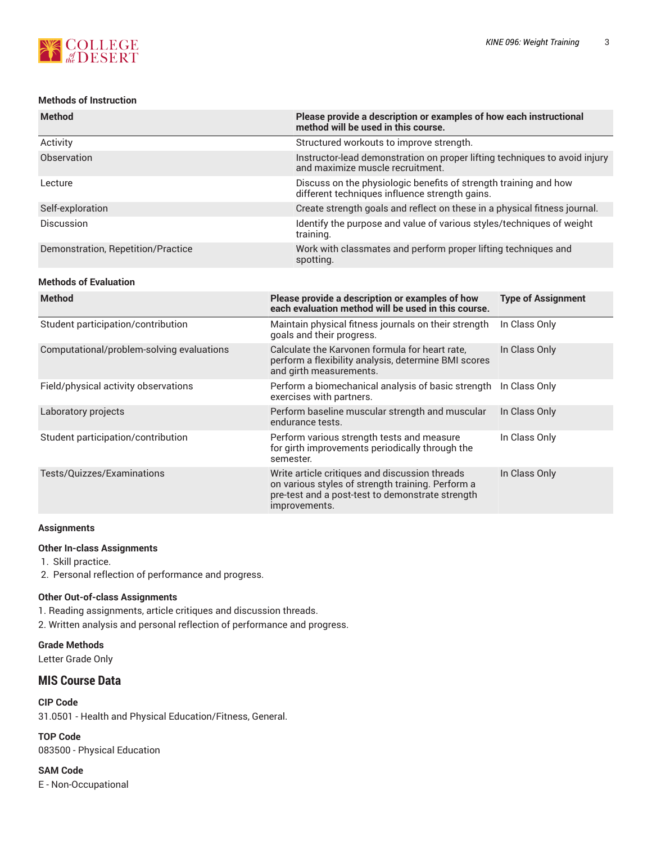## **Methods of Instruction**

| <b>Method</b>                      | Please provide a description or examples of how each instructional<br>method will be used in this course.          |
|------------------------------------|--------------------------------------------------------------------------------------------------------------------|
| Activity                           | Structured workouts to improve strength.                                                                           |
| Observation                        | Instructor-lead demonstration on proper lifting techniques to avoid injury<br>and maximize muscle recruitment.     |
| Lecture                            | Discuss on the physiologic benefits of strength training and how<br>different techniques influence strength gains. |
| Self-exploration                   | Create strength goals and reflect on these in a physical fitness journal.                                          |
| Discussion                         | Identify the purpose and value of various styles/techniques of weight<br>training.                                 |
| Demonstration, Repetition/Practice | Work with classmates and perform proper lifting techniques and<br>spotting.                                        |
| <b>Methods of Evaluation</b>       |                                                                                                                    |
| <b>Method</b>                      | Please provide a description or examples of how<br><b>Type of Assignment</b>                                       |

| menoa                                     | <u>FICASE DIUVIUE A UESCHIPLIUII UI EXAIIIDIES UI IIUW</u><br>each evaluation method will be used in this course.                                                        | <b>IVUC UI MOOIGIIIIICIII</b> |
|-------------------------------------------|--------------------------------------------------------------------------------------------------------------------------------------------------------------------------|-------------------------------|
| Student participation/contribution        | Maintain physical fitness journals on their strength<br>goals and their progress.                                                                                        | In Class Only                 |
| Computational/problem-solving evaluations | Calculate the Karvonen formula for heart rate.<br>perform a flexibility analysis, determine BMI scores<br>and girth measurements.                                        | In Class Only                 |
| Field/physical activity observations      | Perform a biomechanical analysis of basic strength<br>exercises with partners.                                                                                           | In Class Only                 |
| Laboratory projects                       | Perform baseline muscular strength and muscular<br>endurance tests.                                                                                                      | In Class Only                 |
| Student participation/contribution        | Perform various strength tests and measure<br>for girth improvements periodically through the<br>semester.                                                               | In Class Only                 |
| Tests/Quizzes/Examinations                | Write article critiques and discussion threads<br>on various styles of strength training. Perform a<br>pre-test and a post-test to demonstrate strength<br>improvements. | In Class Only                 |

#### **Assignments**

#### **Other In-class Assignments**

- 1. Skill practice.
- 2. Personal reflection of performance and progress.

#### **Other Out-of-class Assignments**

- 1. Reading assignments, article critiques and discussion threads.
- 2. Written analysis and personal reflection of performance and progress.

**Grade Methods**

Letter Grade Only

# **MIS Course Data**

#### **CIP Code**

31.0501 - Health and Physical Education/Fitness, General.

**TOP Code** 083500 - Physical Education

**SAM Code** E - Non-Occupational